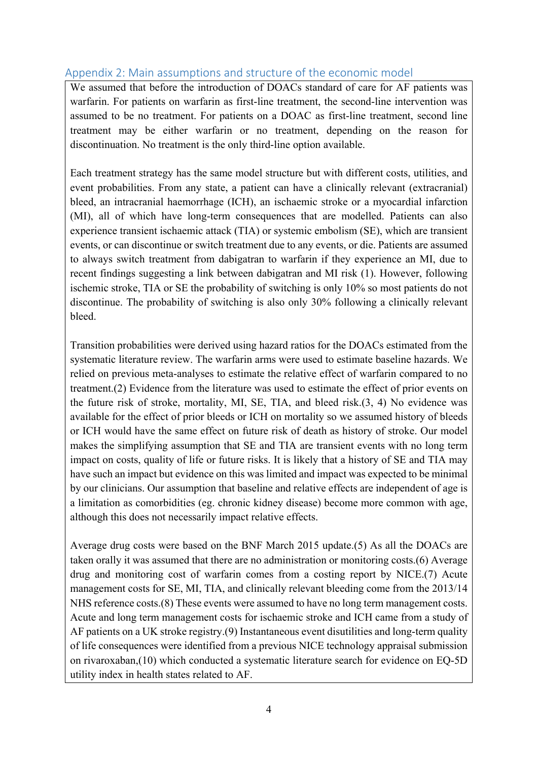# Appendix 2: Main assumptions and structure of the economic model

We assumed that before the introduction of DOACs standard of care for AF patients was warfarin. For patients on warfarin as first-line treatment, the second-line intervention was assumed to be no treatment. For patients on a DOAC as first-line treatment, second line treatment may be either warfarin or no treatment, depending on the reason for discontinuation. No treatment is the only third-line option available.

Each treatment strategy has the same model structure but with different costs, utilities, and event probabilities. From any state, a patient can have a clinically relevant (extracranial) bleed, an intracranial haemorrhage (ICH), an ischaemic stroke or a myocardial infarction (MI), all of which have long-term consequences that are modelled. Patients can also experience transient ischaemic attack (TIA) or systemic embolism (SE), which are transient events, or can discontinue or switch treatment due to any events, or die. Patients are assumed to always switch treatment from dabigatran to warfarin if they experience an MI, due to recent findings suggesting a link between dabigatran and MI risk (1). However, following ischemic stroke, TIA or SE the probability of switching is only 10% so most patients do not discontinue. The probability of switching is also only 30% following a clinically relevant bleed.

Transition probabilities were derived using hazard ratios for the DOACs estimated from the systematic literature review. The warfarin arms were used to estimate baseline hazards. We relied on previous meta-analyses to estimate the relative effect of warfarin compared to no treatment.(2) Evidence from the literature was used to estimate the effect of prior events on the future risk of stroke, mortality, MI, SE, TIA, and bleed risk.(3, 4) No evidence was available for the effect of prior bleeds or ICH on mortality so we assumed history of bleeds or ICH would have the same effect on future risk of death as history of stroke. Our model makes the simplifying assumption that SE and TIA are transient events with no long term impact on costs, quality of life or future risks. It is likely that a history of SE and TIA may have such an impact but evidence on this was limited and impact was expected to be minimal by our clinicians. Our assumption that baseline and relative effects are independent of age is a limitation as comorbidities (eg. chronic kidney disease) become more common with age, although this does not necessarily impact relative effects.

Average drug costs were based on the BNF March 2015 update.(5) As all the DOACs are taken orally it was assumed that there are no administration or monitoring costs.(6) Average drug and monitoring cost of warfarin comes from a costing report by NICE.(7) Acute management costs for SE, MI, TIA, and clinically relevant bleeding come from the 2013/14 NHS reference costs.(8) These events were assumed to have no long term management costs. Acute and long term management costs for ischaemic stroke and ICH came from a study of AF patients on a UK stroke registry.(9) Instantaneous event disutilities and long-term quality of life consequences were identified from a previous NICE technology appraisal submission on rivaroxaban,(10) which conducted a systematic literature search for evidence on EQ-5D utility index in health states related to AF.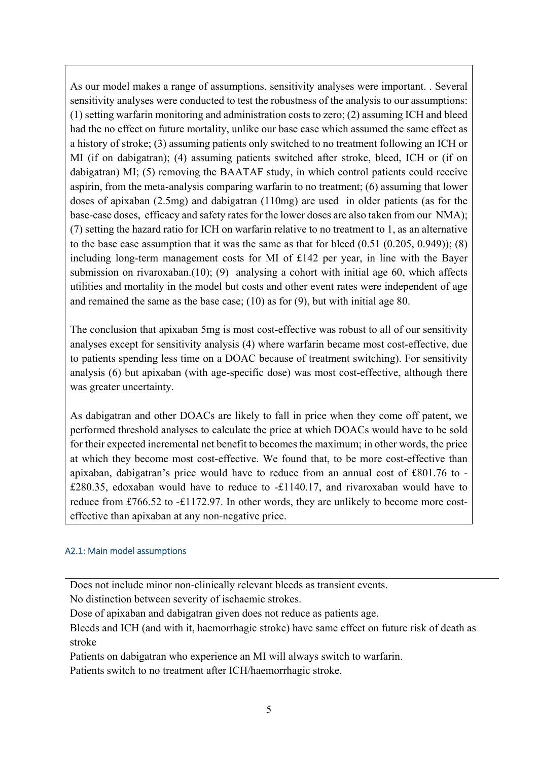As our model makes a range of assumptions, sensitivity analyses were important. . Several sensitivity analyses were conducted to test the robustness of the analysis to our assumptions: (1) setting warfarin monitoring and administration costs to zero; (2) assuming ICH and bleed had the no effect on future mortality, unlike our base case which assumed the same effect as a history of stroke; (3) assuming patients only switched to no treatment following an ICH or MI (if on dabigatran); (4) assuming patients switched after stroke, bleed, ICH or (if on dabigatran) MI; (5) removing the BAATAF study, in which control patients could receive aspirin, from the meta-analysis comparing warfarin to no treatment; (6) assuming that lower doses of apixaban (2.5mg) and dabigatran (110mg) are used in older patients (as for the base-case doses, efficacy and safety rates for the lower doses are also taken from our NMA); (7) setting the hazard ratio for ICH on warfarin relative to no treatment to 1, as an alternative to the base case assumption that it was the same as that for bleed  $(0.51 (0.205, 0.949))$ ; (8) including long-term management costs for MI of £142 per year, in line with the Bayer submission on rivaroxaban.(10); (9) analysing a cohort with initial age 60, which affects utilities and mortality in the model but costs and other event rates were independent of age and remained the same as the base case; (10) as for (9), but with initial age 80.

The conclusion that apixaban 5mg is most cost-effective was robust to all of our sensitivity analyses except for sensitivity analysis (4) where warfarin became most cost-effective, due to patients spending less time on a DOAC because of treatment switching). For sensitivity analysis (6) but apixaban (with age-specific dose) was most cost-effective, although there was greater uncertainty.

As dabigatran and other DOACs are likely to fall in price when they come off patent, we performed threshold analyses to calculate the price at which DOACs would have to be sold for their expected incremental net benefit to becomes the maximum; in other words, the price at which they become most cost-effective. We found that, to be more cost-effective than apixaban, dabigatran's price would have to reduce from an annual cost of £801.76 to - £280.35, edoxaban would have to reduce to -£1140.17, and rivaroxaban would have to reduce from £766.52 to -£1172.97. In other words, they are unlikely to become more costeffective than apixaban at any non-negative price.

## A2.1: Main model assumptions

Does not include minor non-clinically relevant bleeds as transient events.

No distinction between severity of ischaemic strokes.

Dose of apixaban and dabigatran given does not reduce as patients age.

Bleeds and ICH (and with it, haemorrhagic stroke) have same effect on future risk of death as stroke

Patients on dabigatran who experience an MI will always switch to warfarin.

Patients switch to no treatment after ICH/haemorrhagic stroke.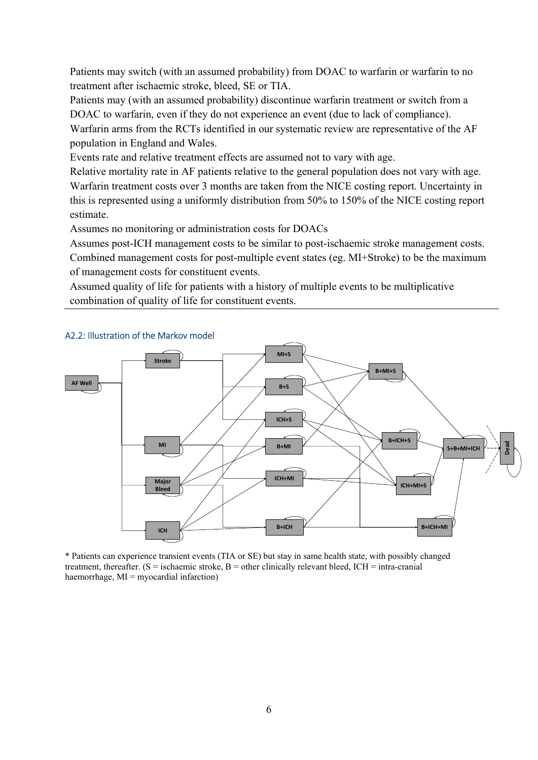Patients may switch (with an assumed probability) from DOAC to warfarin or warfarin to no treatment after ischaemic stroke, bleed, SE or TIA.

Patients may (with an assumed probability) discontinue warfarin treatment or switch from a DOAC to warfarin, even if they do not experience an event (due to lack of compliance). Warfarin arms from the RCTs identified in our systematic review are representative of the AF population in England and Wales.

Events rate and relative treatment effects are assumed not to vary with age.

Relative mortality rate in AF patients relative to the general population does not vary with age. Warfarin treatment costs over 3 months are taken from the NICE costing report. Uncertainty in this is represented using a uniformly distribution from 50% to 150% of the NICE costing report estimate.

Assumes no monitoring or administration costs for DOACs

Assumes post-ICH management costs to be similar to post-ischaemic stroke management costs. Combined management costs for post-multiple event states (eg. MI+Stroke) to be the maximum of management costs for constituent events.

Assumed quality of life for patients with a history of multiple events to be multiplicative combination of quality of life for constituent events.



## A2.2: Illustration of the Markov model

\* Patients can experience transient events (TIA or SE) but stay in same health state, with possibly changed treatment, thereafter. ( $S =$  ischaemic stroke,  $B =$  other clinically relevant bleed, ICH = intra-cranial haemorrhage, MI = myocardial infarction)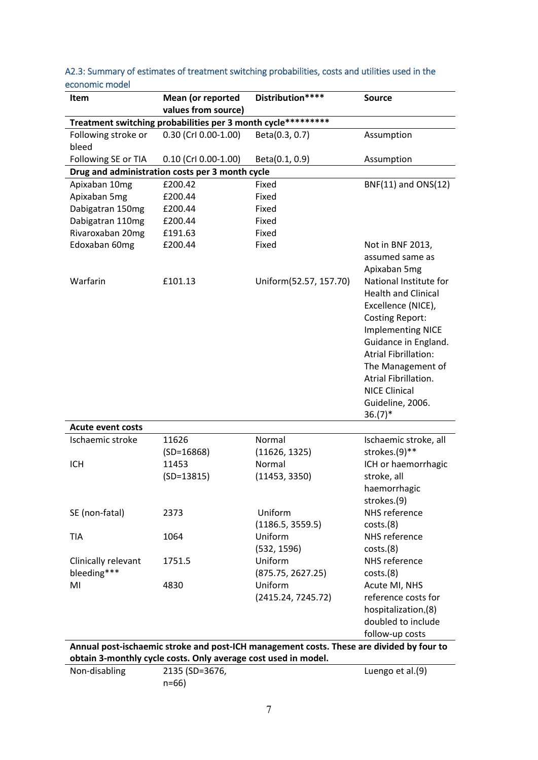| Item                                                                                                                                                       | Mean (or reported         | Distribution****       | <b>Source</b>                                                                                                                                                                                                                                                                                  |  |  |  |  |  |
|------------------------------------------------------------------------------------------------------------------------------------------------------------|---------------------------|------------------------|------------------------------------------------------------------------------------------------------------------------------------------------------------------------------------------------------------------------------------------------------------------------------------------------|--|--|--|--|--|
|                                                                                                                                                            | values from source)       |                        |                                                                                                                                                                                                                                                                                                |  |  |  |  |  |
| Treatment switching probabilities per 3 month cycle*********                                                                                               |                           |                        |                                                                                                                                                                                                                                                                                                |  |  |  |  |  |
| Following stroke or                                                                                                                                        | 0.30 (Crl 0.00-1.00)      | Beta(0.3, 0.7)         | Assumption                                                                                                                                                                                                                                                                                     |  |  |  |  |  |
| bleed                                                                                                                                                      |                           |                        |                                                                                                                                                                                                                                                                                                |  |  |  |  |  |
| Following SE or TIA                                                                                                                                        | $0.10$ (Crl $0.00-1.00$ ) | Beta(0.1, 0.9)         | Assumption                                                                                                                                                                                                                                                                                     |  |  |  |  |  |
| Drug and administration costs per 3 month cycle                                                                                                            |                           |                        |                                                                                                                                                                                                                                                                                                |  |  |  |  |  |
| Apixaban 10mg                                                                                                                                              | £200.42                   | Fixed                  | BNF(11) and ONS(12)                                                                                                                                                                                                                                                                            |  |  |  |  |  |
| Apixaban 5mg                                                                                                                                               | £200.44                   | Fixed                  |                                                                                                                                                                                                                                                                                                |  |  |  |  |  |
| Dabigatran 150mg                                                                                                                                           | £200.44                   | Fixed                  |                                                                                                                                                                                                                                                                                                |  |  |  |  |  |
| Dabigatran 110mg                                                                                                                                           | £200.44                   | Fixed                  |                                                                                                                                                                                                                                                                                                |  |  |  |  |  |
| Rivaroxaban 20mg                                                                                                                                           | £191.63                   | Fixed                  |                                                                                                                                                                                                                                                                                                |  |  |  |  |  |
| Edoxaban 60mg                                                                                                                                              | £200.44                   | Fixed                  | Not in BNF 2013,<br>assumed same as<br>Apixaban 5mg                                                                                                                                                                                                                                            |  |  |  |  |  |
| Warfarin                                                                                                                                                   | £101.13                   | Uniform(52.57, 157.70) | National Institute for<br><b>Health and Clinical</b><br>Excellence (NICE),<br><b>Costing Report:</b><br><b>Implementing NICE</b><br>Guidance in England.<br><b>Atrial Fibrillation:</b><br>The Management of<br>Atrial Fibrillation.<br><b>NICE Clinical</b><br>Guideline, 2006.<br>$36.(7)^*$ |  |  |  |  |  |
| <b>Acute event costs</b>                                                                                                                                   |                           |                        |                                                                                                                                                                                                                                                                                                |  |  |  |  |  |
| Ischaemic stroke                                                                                                                                           | 11626                     | Normal                 | Ischaemic stroke, all                                                                                                                                                                                                                                                                          |  |  |  |  |  |
|                                                                                                                                                            | $(SD=16868)$              | (11626, 1325)          | strokes.(9)**                                                                                                                                                                                                                                                                                  |  |  |  |  |  |
| <b>ICH</b>                                                                                                                                                 | 11453                     | Normal                 | ICH or haemorrhagic                                                                                                                                                                                                                                                                            |  |  |  |  |  |
|                                                                                                                                                            | $(SD=13815)$              | (11453, 3350)          | stroke, all                                                                                                                                                                                                                                                                                    |  |  |  |  |  |
|                                                                                                                                                            |                           |                        | haemorrhagic                                                                                                                                                                                                                                                                                   |  |  |  |  |  |
|                                                                                                                                                            |                           |                        | strokes.(9)                                                                                                                                                                                                                                                                                    |  |  |  |  |  |
| SE (non-fatal)                                                                                                                                             | 2373                      | Uniform                | NHS reference                                                                                                                                                                                                                                                                                  |  |  |  |  |  |
|                                                                                                                                                            |                           | (1186.5, 3559.5)       | costs.(8)                                                                                                                                                                                                                                                                                      |  |  |  |  |  |
| <b>TIA</b>                                                                                                                                                 | 1064                      | Uniform                | NHS reference                                                                                                                                                                                                                                                                                  |  |  |  |  |  |
|                                                                                                                                                            |                           | (532, 1596)            | costs.(8)                                                                                                                                                                                                                                                                                      |  |  |  |  |  |
| Clinically relevant                                                                                                                                        | 1751.5                    | Uniform                | NHS reference                                                                                                                                                                                                                                                                                  |  |  |  |  |  |
| bleeding***                                                                                                                                                |                           | (875.75, 2627.25)      | costs.(8)                                                                                                                                                                                                                                                                                      |  |  |  |  |  |
| MI                                                                                                                                                         | 4830                      | Uniform                | Acute MI, NHS                                                                                                                                                                                                                                                                                  |  |  |  |  |  |
|                                                                                                                                                            |                           | (2415.24, 7245.72)     | reference costs for                                                                                                                                                                                                                                                                            |  |  |  |  |  |
|                                                                                                                                                            |                           |                        | hospitalization,(8)                                                                                                                                                                                                                                                                            |  |  |  |  |  |
|                                                                                                                                                            |                           |                        | doubled to include                                                                                                                                                                                                                                                                             |  |  |  |  |  |
|                                                                                                                                                            |                           |                        | follow-up costs                                                                                                                                                                                                                                                                                |  |  |  |  |  |
| Annual post-ischaemic stroke and post-ICH management costs. These are divided by four to<br>obtain 3-monthly cycle costs. Only average cost used in model. |                           |                        |                                                                                                                                                                                                                                                                                                |  |  |  |  |  |

A2.3: Summary of estimates of treatment switching probabilities, costs and utilities used in the economic model

| assum a monthly syste costs. Only average cost asea in modell |                |                  |  |  |  |
|---------------------------------------------------------------|----------------|------------------|--|--|--|
| Non-disabling                                                 | 2135 (SD=3676, | Luengo et al.(9) |  |  |  |
|                                                               | n=66)          |                  |  |  |  |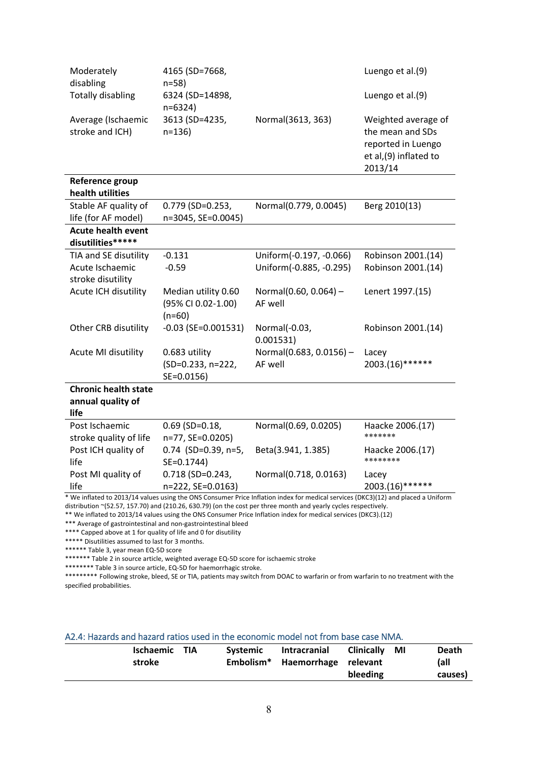| Moderately                                                                                                                                                                                                                                           | 4165 (SD=7668,                                        |                                     | Luengo et al.(9)                                                                                   |  |  |  |
|------------------------------------------------------------------------------------------------------------------------------------------------------------------------------------------------------------------------------------------------------|-------------------------------------------------------|-------------------------------------|----------------------------------------------------------------------------------------------------|--|--|--|
| disabling<br><b>Totally disabling</b>                                                                                                                                                                                                                | $n = 58$<br>6324 (SD=14898,<br>$n=6324$               |                                     | Luengo et al.(9)                                                                                   |  |  |  |
| Average (Ischaemic<br>stroke and ICH)                                                                                                                                                                                                                | 3613 (SD=4235,<br>$n = 136$                           | Normal(3613, 363)                   | Weighted average of<br>the mean and SDs<br>reported in Luengo<br>et al, (9) inflated to<br>2013/14 |  |  |  |
| Reference group<br>health utilities                                                                                                                                                                                                                  |                                                       |                                     |                                                                                                    |  |  |  |
| Stable AF quality of                                                                                                                                                                                                                                 | 0.779 (SD=0.253,                                      | Normal(0.779, 0.0045)               | Berg 2010(13)                                                                                      |  |  |  |
| life (for AF model)                                                                                                                                                                                                                                  | n=3045, SE=0.0045)                                    |                                     |                                                                                                    |  |  |  |
| <b>Acute health event</b><br>disutilities*****                                                                                                                                                                                                       |                                                       |                                     |                                                                                                    |  |  |  |
| TIA and SE disutility                                                                                                                                                                                                                                | $-0.131$                                              | Uniform(-0.197, -0.066)             | Robinson 2001.(14)                                                                                 |  |  |  |
| Acute Ischaemic                                                                                                                                                                                                                                      | $-0.59$                                               | Uniform(-0.885, -0.295)             | Robinson 2001.(14)                                                                                 |  |  |  |
| stroke disutility                                                                                                                                                                                                                                    |                                                       |                                     |                                                                                                    |  |  |  |
| Acute ICH disutility                                                                                                                                                                                                                                 | Median utility 0.60<br>(95% CI 0.02-1.00)<br>$(n=60)$ | Normal $(0.60, 0.064)$ -<br>AF well | Lenert 1997.(15)                                                                                   |  |  |  |
| Other CRB disutility                                                                                                                                                                                                                                 | $-0.03$ (SE=0.001531)                                 | Normal(-0.03,<br>0.001531)          | Robinson 2001.(14)                                                                                 |  |  |  |
| Acute MI disutility                                                                                                                                                                                                                                  | 0.683 utility<br>(SD=0.233, n=222,<br>SE=0.0156)      | Normal(0.683, 0.0156) -<br>AF well  | Lacey<br>2003.(16)******                                                                           |  |  |  |
| <b>Chronic health state</b>                                                                                                                                                                                                                          |                                                       |                                     |                                                                                                    |  |  |  |
| annual quality of                                                                                                                                                                                                                                    |                                                       |                                     |                                                                                                    |  |  |  |
| life                                                                                                                                                                                                                                                 |                                                       |                                     |                                                                                                    |  |  |  |
| Post Ischaemic<br>stroke quality of life                                                                                                                                                                                                             | $0.69$ (SD= $0.18$ ,<br>n=77, SE=0.0205)              | Normal(0.69, 0.0205)                | Haacke 2006.(17)<br>*******                                                                        |  |  |  |
| Post ICH quality of<br>life                                                                                                                                                                                                                          | $0.74$ (SD=0.39, n=5,<br>SE=0.1744)                   | Beta(3.941, 1.385)                  | Haacke 2006.(17)<br>********                                                                       |  |  |  |
| Post MI quality of                                                                                                                                                                                                                                   | 0.718 (SD=0.243,                                      | Normal(0.718, 0.0163)               | Lacey                                                                                              |  |  |  |
| life                                                                                                                                                                                                                                                 | n=222, SE=0.0163)                                     |                                     | 2003.(16)******                                                                                    |  |  |  |
| * We inflated to 2013/14 values using the ONS Consumer Price Inflation index for medical services (DKC3)(12) and placed a Uniform<br>distribution ~(52.57, 157.70) and (210.26, 630.79) (on the cost per three month and yearly cycles respectively. |                                                       |                                     |                                                                                                    |  |  |  |

\*\* We inflated to 2013/14 values using the ONS Consumer Price Inflation index for medical services (DKC3).(12)

\*\*\* Average of gastrointestinal and non-gastrointestinal bleed

\*\*\*\* Capped above at 1 for quality of life and 0 for disutility

\*\*\*\*\* Disutilities assumed to last for 3 months.

\*\*\*\*\*\* Table 3, year mean EQ‐5D score

\*\*\*\*\*\*\* Table 2 in source article, weighted average EQ-5D score for ischaemic stroke

\*\*\*\*\*\*\*\* Table 3 in source article, EQ-5D for haemorrhagic stroke.

\*\*\*\*\*\*\*\*\* Following stroke, bleed, SE or TIA, patients may switch from DOAC to warfarin or from warfarin to no treatment with the specified probabilities.

#### A2.4: Hazards and hazard ratios used in the economic model not from base case NMA.

| Ischaemic TIA<br>stroke |  | <b>Systemic</b> | Intracranial<br>Embolism* Haemorrhage relevant | <b>Clinically</b><br>bleeding | MI | Death<br>(all<br>causes) |
|-------------------------|--|-----------------|------------------------------------------------|-------------------------------|----|--------------------------|
|-------------------------|--|-----------------|------------------------------------------------|-------------------------------|----|--------------------------|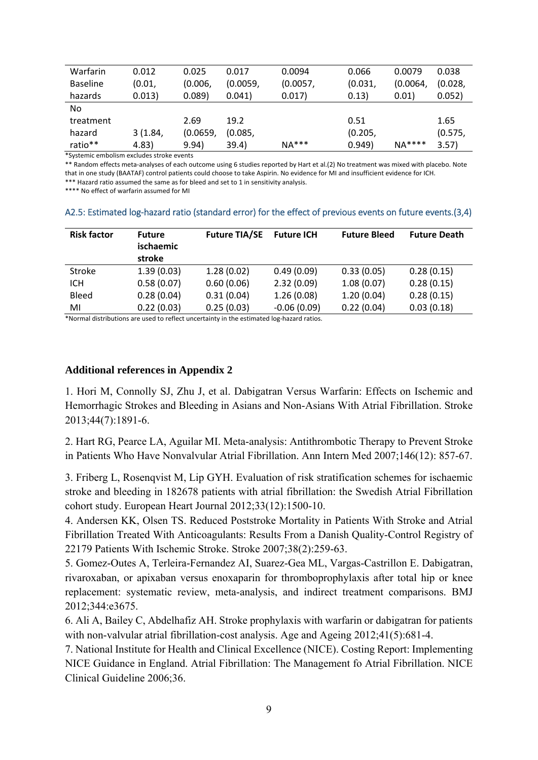| Warfarin        | 0.012   | 0.025    | 0.017    | 0.0094   | 0.066   | 0.0079   | 0.038   |
|-----------------|---------|----------|----------|----------|---------|----------|---------|
| <b>Baseline</b> | (0.01,  | (0.006,  | (0.0059, | (0.0057, | (0.031, | (0.0064, | (0.028, |
| hazards         | 0.013)  | 0.089)   | 0.041)   | 0.017)   | 0.13)   | 0.01)    | 0.052)  |
| No.             |         |          |          |          |         |          |         |
| treatment       |         | 2.69     | 19.2     |          | 0.51    |          | 1.65    |
| hazard          | 3(1.84, | (0.0659, | (0.085,  |          | (0.205, |          | (0.575, |
| ratio**         | 4.83)   | 9.94)    | 39.4)    | $NA***$  | 0.949)  | $NA***$  | 3.57)   |

\*Systemic embolism excludes stroke events

\*\* Random effects meta-analyses of each outcome using 6 studies reported by Hart et al.(2) No treatment was mixed with placebo. Note that in one study (BAATAF) control patients could choose to take Aspirin. No evidence for MI and insufficient evidence for ICH. \*\*\* Hazard ratio assumed the same as for bleed and set to 1 in sensitivity analysis.

\*\*\*\* No effect of warfarin assumed for MI

| <b>Risk factor</b> | <b>Future</b><br>ischaemic<br>stroke | <b>Future TIA/SE</b> | <b>Future ICH</b> | <b>Future Bleed</b> | <b>Future Death</b> |
|--------------------|--------------------------------------|----------------------|-------------------|---------------------|---------------------|
| Stroke             | 1.39(0.03)                           | 1.28(0.02)           | 0.49(0.09)        | 0.33(0.05)          | 0.28(0.15)          |
| ICH                | 0.58(0.07)                           | 0.60(0.06)           | 2.32(0.09)        | 1.08(0.07)          | 0.28(0.15)          |
| <b>Bleed</b>       | 0.28(0.04)                           | 0.31(0.04)           | 1.26(0.08)        | 1.20(0.04)          | 0.28(0.15)          |
| MI                 | 0.22(0.03)                           | 0.25(0.03)           | $-0.06(0.09)$     | 0.22(0.04)          | 0.03(0.18)          |

### A2.5: Estimated log-hazard ratio (standard error) for the effect of previous events on future events.(3,4)

\*Normal distributions are used to reflect uncertainty in the estimated log‐hazard ratios.

#### **Additional references in Appendix 2**

1. Hori M, Connolly SJ, Zhu J, et al. Dabigatran Versus Warfarin: Effects on Ischemic and Hemorrhagic Strokes and Bleeding in Asians and Non-Asians With Atrial Fibrillation. Stroke 2013;44(7):1891-6.

2. Hart RG, Pearce LA, Aguilar MI. Meta-analysis: Antithrombotic Therapy to Prevent Stroke in Patients Who Have Nonvalvular Atrial Fibrillation. Ann Intern Med 2007;146(12): 857-67.

3. Friberg L, Rosenqvist M, Lip GYH. Evaluation of risk stratification schemes for ischaemic stroke and bleeding in 182678 patients with atrial fibrillation: the Swedish Atrial Fibrillation cohort study. European Heart Journal 2012;33(12):1500-10.

4. Andersen KK, Olsen TS. Reduced Poststroke Mortality in Patients With Stroke and Atrial Fibrillation Treated With Anticoagulants: Results From a Danish Quality-Control Registry of 22179 Patients With Ischemic Stroke. Stroke 2007;38(2):259-63.

5. Gomez-Outes A, Terleira-Fernandez AI, Suarez-Gea ML, Vargas-Castrillon E. Dabigatran, rivaroxaban, or apixaban versus enoxaparin for thromboprophylaxis after total hip or knee replacement: systematic review, meta-analysis, and indirect treatment comparisons. BMJ 2012;344:e3675.

6. Ali A, Bailey C, Abdelhafiz AH. Stroke prophylaxis with warfarin or dabigatran for patients with non-valvular atrial fibrillation-cost analysis. Age and Ageing 2012;41(5):681-4.

7. National Institute for Health and Clinical Excellence (NICE). Costing Report: Implementing NICE Guidance in England. Atrial Fibrillation: The Management fo Atrial Fibrillation. NICE Clinical Guideline 2006;36.